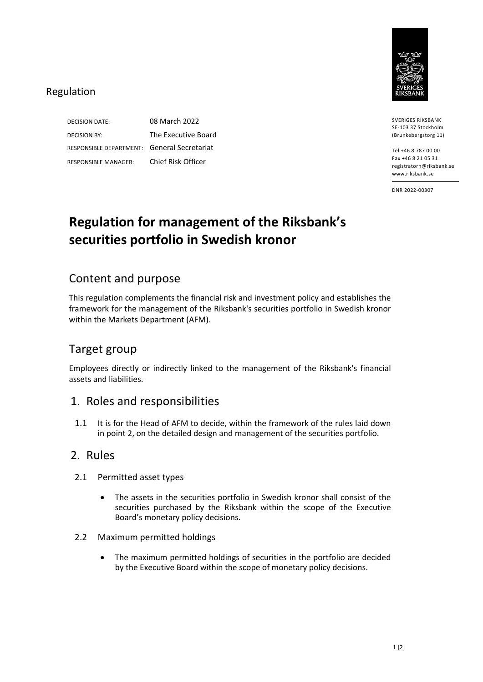

#### Regulation

DECISION DATE: 08 March 2022 DECISION BY: The Executive Board RESPONSIBLE DEPARTMENT: General Secretariat RESPONSIBLE MANAGER: Chief Risk Officer

SVERIGES RIKSBANK SE-103 37 Stockholm (Brunkebergstorg 11)

Tel +46 8 787 00 00 Fax +46 8 21 05 31 registratorn@riksbank.se www.riksbank.se

DNR 2022-00307

# **Regulation for management of the Riksbank's securities portfolio in Swedish kronor**

### Content and purpose

This regulation complements the financial risk and investment policy and establishes the framework for the management of the Riksbank's securities portfolio in Swedish kronor within the Markets Department (AFM).

# Target group

Employees directly or indirectly linked to the management of the Riksbank's financial assets and liabilities.

## 1. Roles and responsibilities

1.1 It is for the Head of AFM to decide, within the framework of the rules laid down in point 2, on the detailed design and management of the securities portfolio.

#### 2. Rules

- 2.1 Permitted asset types
	- The assets in the securities portfolio in Swedish kronor shall consist of the securities purchased by the Riksbank within the scope of the Executive Board's monetary policy decisions.
- 2.2 Maximum permitted holdings
	- The maximum permitted holdings of securities in the portfolio are decided by the Executive Board within the scope of monetary policy decisions.